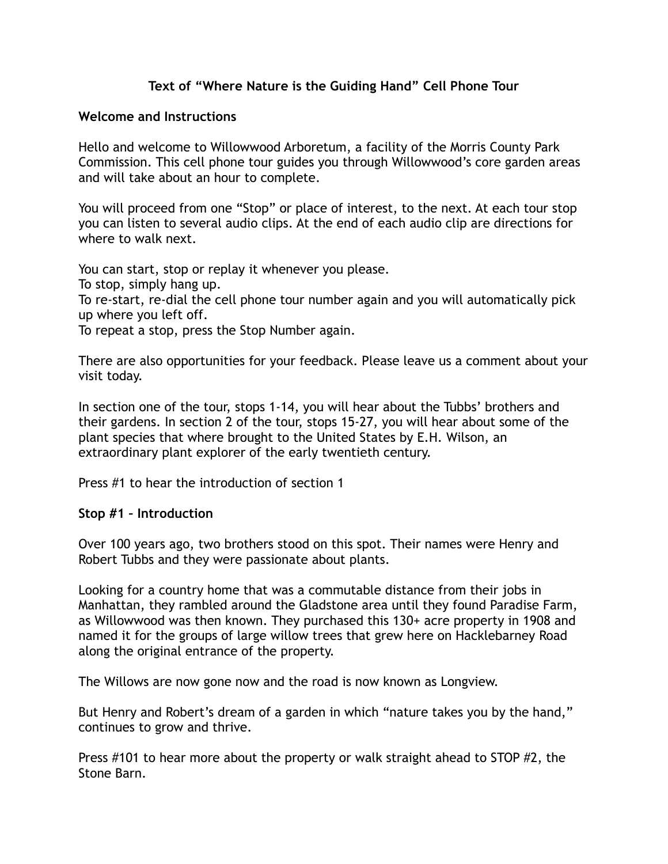## **Text of "Where Nature is the Guiding Hand" Cell Phone Tour**

### **Welcome and Instructions**

Hello and welcome to Willowwood Arboretum, a facility of the Morris County Park Commission. This cell phone tour guides you through Willowwood's core garden areas and will take about an hour to complete.

You will proceed from one "Stop" or place of interest, to the next. At each tour stop you can listen to several audio clips. At the end of each audio clip are directions for where to walk next.

You can start, stop or replay it whenever you please. To stop, simply hang up. To re-start, re-dial the cell phone tour number again and you will automatically pick up where you left off.

To repeat a stop, press the Stop Number again.

There are also opportunities for your feedback. Please leave us a comment about your visit today.

In section one of the tour, stops 1-14, you will hear about the Tubbs' brothers and their gardens. In section 2 of the tour, stops 15-27, you will hear about some of the plant species that where brought to the United States by E.H. Wilson, an extraordinary plant explorer of the early twentieth century.

Press #1 to hear the introduction of section 1

#### **Stop #1 – Introduction**

Over 100 years ago, two brothers stood on this spot. Their names were Henry and Robert Tubbs and they were passionate about plants.

Looking for a country home that was a commutable distance from their jobs in Manhattan, they rambled around the Gladstone area until they found Paradise Farm, as Willowwood was then known. They purchased this 130+ acre property in 1908 and named it for the groups of large willow trees that grew here on Hacklebarney Road along the original entrance of the property.

The Willows are now gone now and the road is now known as Longview.

But Henry and Robert's dream of a garden in which "nature takes you by the hand," continues to grow and thrive.

Press #101 to hear more about the property or walk straight ahead to STOP #2, the Stone Barn.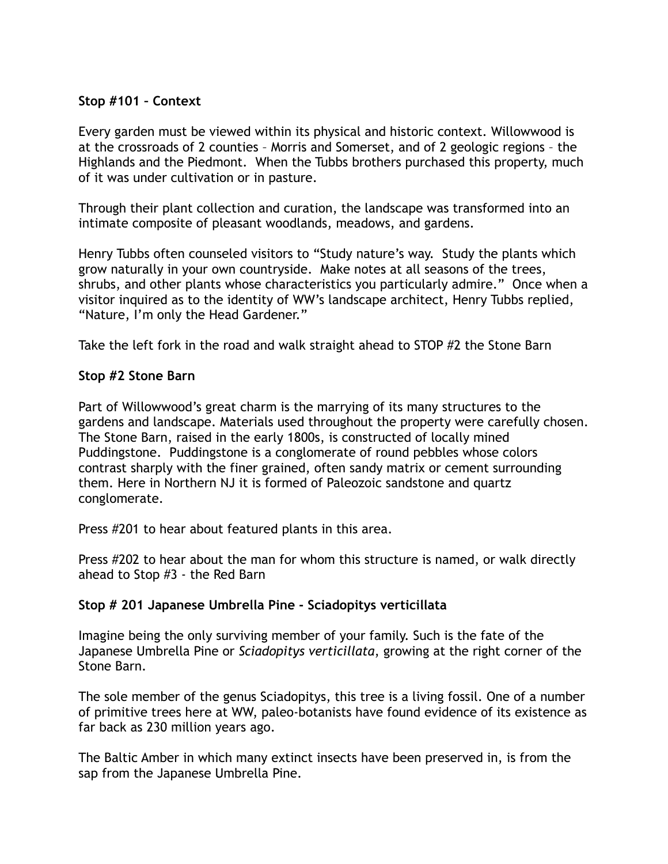## **Stop #101 – Context**

Every garden must be viewed within its physical and historic context. Willowwood is at the crossroads of 2 counties – Morris and Somerset, and of 2 geologic regions – the Highlands and the Piedmont. When the Tubbs brothers purchased this property, much of it was under cultivation or in pasture.

Through their plant collection and curation, the landscape was transformed into an intimate composite of pleasant woodlands, meadows, and gardens.

Henry Tubbs often counseled visitors to "Study nature's way. Study the plants which grow naturally in your own countryside. Make notes at all seasons of the trees, shrubs, and other plants whose characteristics you particularly admire." Once when a visitor inquired as to the identity of WW's landscape architect, Henry Tubbs replied, "Nature, I'm only the Head Gardener."

Take the left fork in the road and walk straight ahead to STOP #2 the Stone Barn

#### **Stop #2 Stone Barn**

Part of Willowwood's great charm is the marrying of its many structures to the gardens and landscape. Materials used throughout the property were carefully chosen. The Stone Barn, raised in the early 1800s, is constructed of locally mined Puddingstone. Puddingstone is a conglomerate of round pebbles whose colors contrast sharply with the finer grained, often sandy matrix or cement surrounding them. Here in Northern NJ it is formed of Paleozoic sandstone and quartz conglomerate.

Press #201 to hear about featured plants in this area.

Press #202 to hear about the man for whom this structure is named, or walk directly ahead to Stop #3 - the Red Barn

### **Stop # 201 Japanese Umbrella Pine - Sciadopitys verticillata**

Imagine being the only surviving member of your family. Such is the fate of the Japanese Umbrella Pine or *Sciadopitys verticillata*, growing at the right corner of the Stone Barn.

The sole member of the genus Sciadopitys, this tree is a living fossil. One of a number of primitive trees here at WW, paleo-botanists have found evidence of its existence as far back as 230 million years ago.

The Baltic Amber in which many extinct insects have been preserved in, is from the sap from the Japanese Umbrella Pine.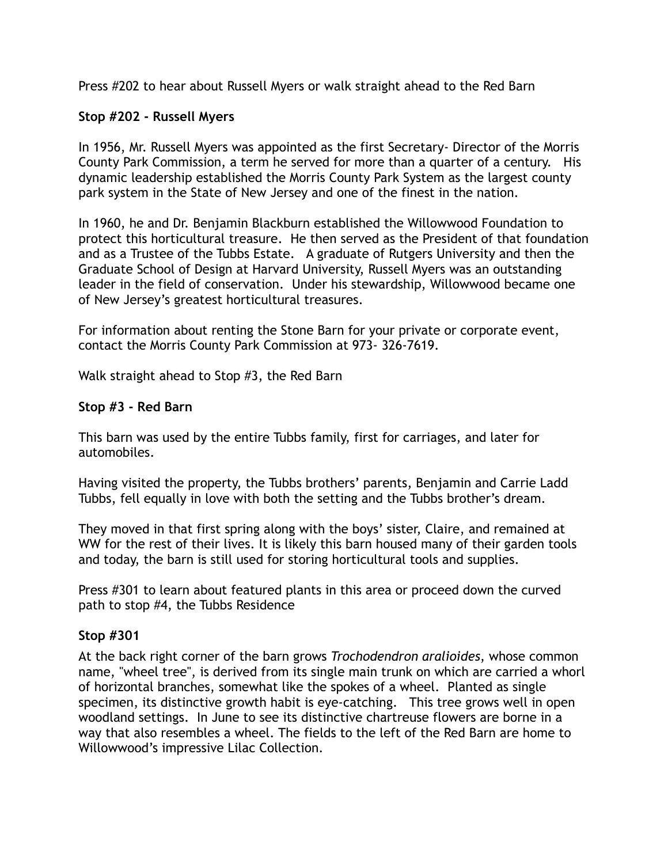Press #202 to hear about Russell Myers or walk straight ahead to the Red Barn

## **Stop #202 - Russell Myers**

In 1956, Mr. Russell Myers was appointed as the first Secretary- Director of the Morris County Park Commission, a term he served for more than a quarter of a century. His dynamic leadership established the Morris County Park System as the largest county park system in the State of New Jersey and one of the finest in the nation.

In 1960, he and Dr. Benjamin Blackburn established the Willowwood Foundation to protect this horticultural treasure. He then served as the President of that foundation and as a Trustee of the Tubbs Estate. A graduate of Rutgers University and then the Graduate School of Design at Harvard University, Russell Myers was an outstanding leader in the field of conservation. Under his stewardship, Willowwood became one of New Jersey's greatest horticultural treasures.

For information about renting the Stone Barn for your private or corporate event, contact the Morris County Park Commission at 973- 326-7619.

Walk straight ahead to Stop #3, the Red Barn

## **Stop #3 - Red Barn**

This barn was used by the entire Tubbs family, first for carriages, and later for automobiles.

Having visited the property, the Tubbs brothers' parents, Benjamin and Carrie Ladd Tubbs, fell equally in love with both the setting and the Tubbs brother's dream.

They moved in that first spring along with the boys' sister, Claire, and remained at WW for the rest of their lives. It is likely this barn housed many of their garden tools and today, the barn is still used for storing horticultural tools and supplies.

Press #301 to learn about featured plants in this area or proceed down the curved path to stop #4, the Tubbs Residence

### **Stop #301**

At the back right corner of the barn grows *Trochodendron aralioides*, whose common name, "wheel tree", is derived from its single main trunk on which are carried a whorl of horizontal branches, somewhat like the spokes of a wheel. Planted as single specimen, its distinctive growth habit is eye-catching. This tree grows well in open woodland settings. In June to see its distinctive chartreuse flowers are borne in a way that also resembles a wheel. The fields to the left of the Red Barn are home to Willowwood's impressive Lilac Collection.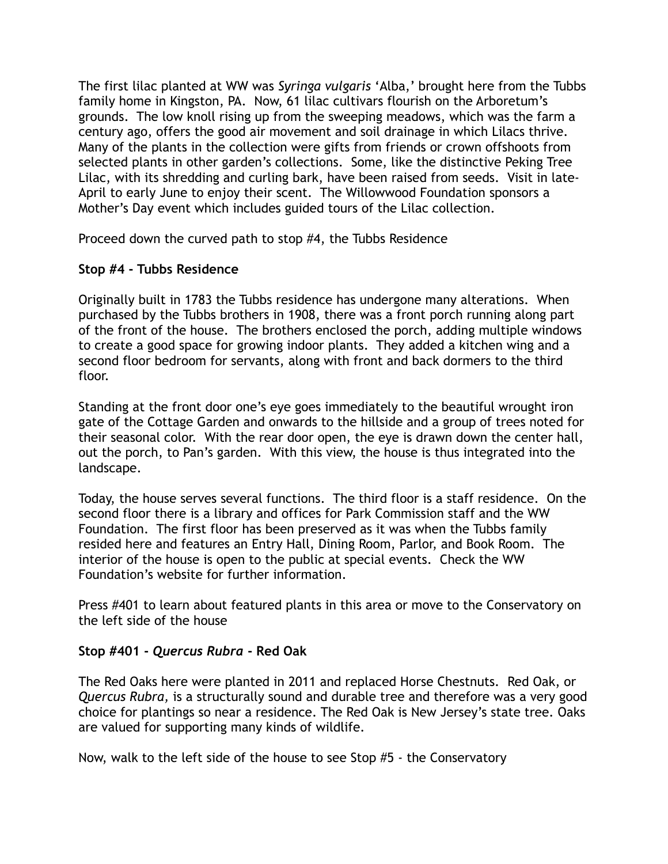The first lilac planted at WW was *Syringa vulgaris* 'Alba,' brought here from the Tubbs family home in Kingston, PA. Now, 61 lilac cultivars flourish on the Arboretum's grounds. The low knoll rising up from the sweeping meadows, which was the farm a century ago, offers the good air movement and soil drainage in which Lilacs thrive. Many of the plants in the collection were gifts from friends or crown offshoots from selected plants in other garden's collections. Some, like the distinctive Peking Tree Lilac, with its shredding and curling bark, have been raised from seeds. Visit in late-April to early June to enjoy their scent. The Willowwood Foundation sponsors a Mother's Day event which includes guided tours of the Lilac collection.

Proceed down the curved path to stop #4, the Tubbs Residence

## **Stop #4 - Tubbs Residence**

Originally built in 1783 the Tubbs residence has undergone many alterations. When purchased by the Tubbs brothers in 1908, there was a front porch running along part of the front of the house. The brothers enclosed the porch, adding multiple windows to create a good space for growing indoor plants. They added a kitchen wing and a second floor bedroom for servants, along with front and back dormers to the third floor.

Standing at the front door one's eye goes immediately to the beautiful wrought iron gate of the Cottage Garden and onwards to the hillside and a group of trees noted for their seasonal color. With the rear door open, the eye is drawn down the center hall, out the porch, to Pan's garden. With this view, the house is thus integrated into the landscape.

Today, the house serves several functions. The third floor is a staff residence. On the second floor there is a library and offices for Park Commission staff and the WW Foundation. The first floor has been preserved as it was when the Tubbs family resided here and features an Entry Hall, Dining Room, Parlor, and Book Room. The interior of the house is open to the public at special events. Check the WW Foundation's website for further information.

Press #401 to learn about featured plants in this area or move to the Conservatory on the left side of the house

### **Stop #401 -** *Quercus Rubra* **- Red Oak**

The Red Oaks here were planted in 2011 and replaced Horse Chestnuts. Red Oak, or *Quercus Rubra,* is a structurally sound and durable tree and therefore was a very good choice for plantings so near a residence. The Red Oak is New Jersey's state tree. Oaks are valued for supporting many kinds of wildlife.

Now, walk to the left side of the house to see Stop #5 - the Conservatory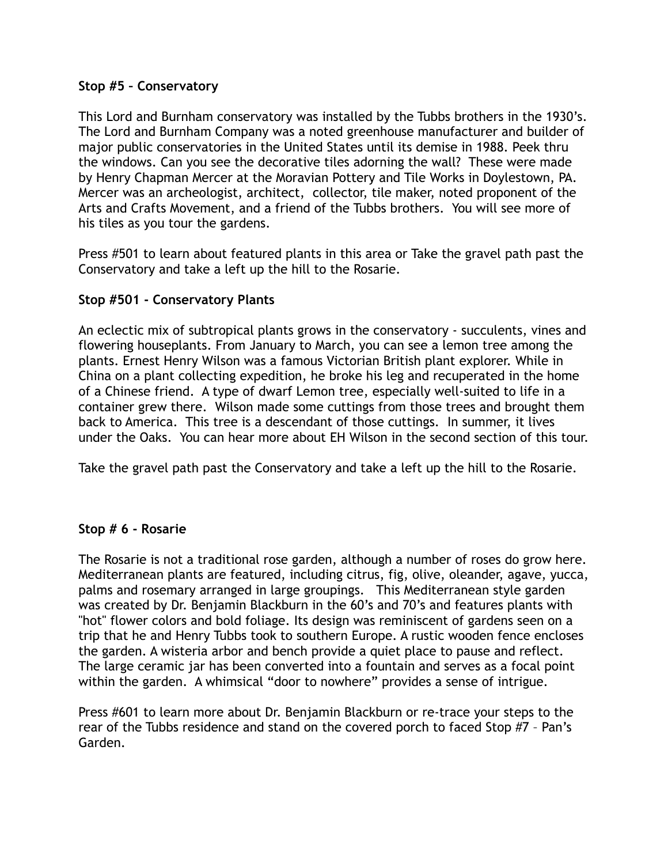### **Stop #5 – Conservatory**

This Lord and Burnham conservatory was installed by the Tubbs brothers in the 1930's. The Lord and Burnham Company was a noted greenhouse manufacturer and builder of major public conservatories in the United States until its demise in 1988. Peek thru the windows. Can you see the decorative tiles adorning the wall? These were made by Henry Chapman Mercer at the Moravian Pottery and Tile Works in Doylestown, PA. Mercer was an archeologist, architect, collector, tile maker, noted proponent of the Arts and Crafts Movement, and a friend of the Tubbs brothers. You will see more of his tiles as you tour the gardens.

Press #501 to learn about featured plants in this area or Take the gravel path past the Conservatory and take a left up the hill to the Rosarie.

## **Stop #501 - Conservatory Plants**

An eclectic mix of subtropical plants grows in the conservatory - succulents, vines and flowering houseplants. From January to March, you can see a lemon tree among the plants. Ernest Henry Wilson was a famous Victorian British plant explorer. While in China on a plant collecting expedition, he broke his leg and recuperated in the home of a Chinese friend. A type of dwarf Lemon tree, especially well-suited to life in a container grew there. Wilson made some cuttings from those trees and brought them back to America. This tree is a descendant of those cuttings. In summer, it lives under the Oaks. You can hear more about EH Wilson in the second section of this tour.

Take the gravel path past the Conservatory and take a left up the hill to the Rosarie.

### **Stop # 6 - Rosarie**

The Rosarie is not a traditional rose garden, although a number of roses do grow here. Mediterranean plants are featured, including citrus, fig, olive, oleander, agave, yucca, palms and rosemary arranged in large groupings. This Mediterranean style garden was created by Dr. Benjamin Blackburn in the 60's and 70's and features plants with "hot" flower colors and bold foliage. Its design was reminiscent of gardens seen on a trip that he and Henry Tubbs took to southern Europe. A rustic wooden fence encloses the garden. A wisteria arbor and bench provide a quiet place to pause and reflect. The large ceramic jar has been converted into a fountain and serves as a focal point within the garden. A whimsical "door to nowhere" provides a sense of intrigue.

Press #601 to learn more about Dr. Benjamin Blackburn or re-trace your steps to the rear of the Tubbs residence and stand on the covered porch to faced Stop #7 – Pan's Garden.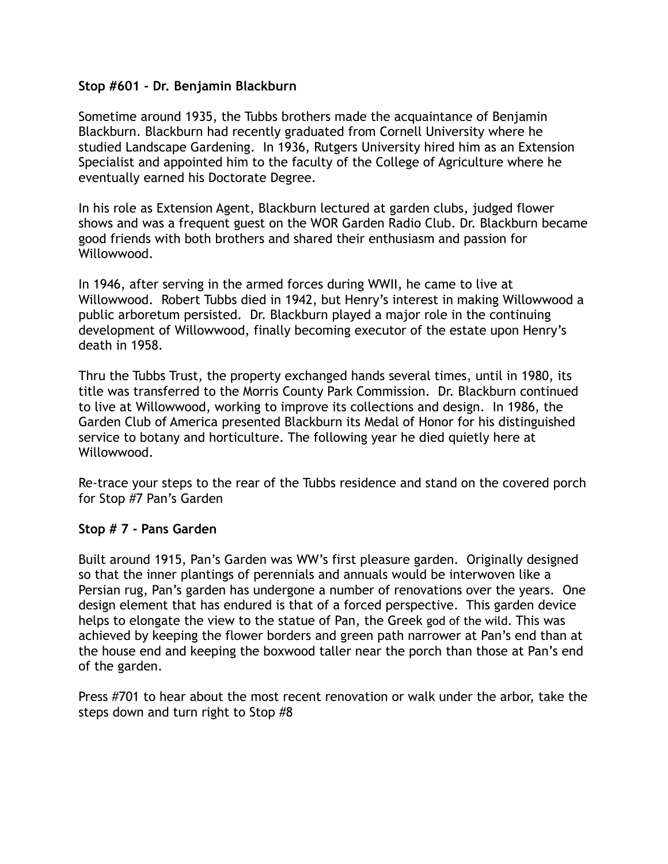### **Stop #601 - Dr. Benjamin Blackburn**

Sometime around 1935, the Tubbs brothers made the acquaintance of Benjamin Blackburn. Blackburn had recently graduated from Cornell University where he studied Landscape Gardening. In 1936, Rutgers University hired him as an Extension Specialist and appointed him to the faculty of the College of Agriculture where he eventually earned his Doctorate Degree.

In his role as Extension Agent, Blackburn lectured at garden clubs, judged flower shows and was a frequent guest on the WOR Garden Radio Club. Dr. Blackburn became good friends with both brothers and shared their enthusiasm and passion for Willowwood.

In 1946, after serving in the armed forces during WWII, he came to live at Willowwood. Robert Tubbs died in 1942, but Henry's interest in making Willowwood a public arboretum persisted. Dr. Blackburn played a major role in the continuing development of Willowwood, finally becoming executor of the estate upon Henry's death in 1958.

Thru the Tubbs Trust, the property exchanged hands several times, until in 1980, its title was transferred to the Morris County Park Commission. Dr. Blackburn continued to live at Willowwood, working to improve its collections and design. In 1986, the Garden Club of America presented Blackburn its Medal of Honor for his distinguished service to botany and horticulture. The following year he died quietly here at Willowwood.

Re-trace your steps to the rear of the Tubbs residence and stand on the covered porch for Stop #7 Pan's Garden

### **Stop # 7 - Pans Garden**

Built around 1915, Pan's Garden was WW's first pleasure garden. Originally designed so that the inner plantings of perennials and annuals would be interwoven like a Persian rug, Pan's garden has undergone a number of renovations over the years. One design element that has endured is that of a forced perspective. This garden device helps to elongate the view to the statue of Pan, the Greek god of the wild. This was achieved by keeping the flower borders and green path narrower at Pan's end than at the house end and keeping the boxwood taller near the porch than those at Pan's end of the garden.

Press #701 to hear about the most recent renovation or walk under the arbor, take the steps down and turn right to Stop #8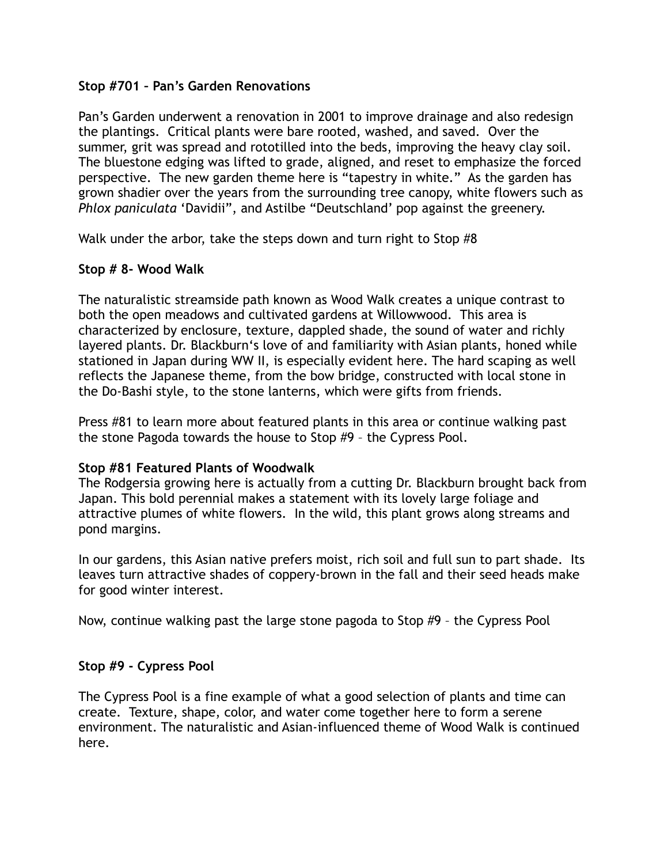### **Stop #701 – Pan's Garden Renovations**

Pan's Garden underwent a renovation in 2001 to improve drainage and also redesign the plantings. Critical plants were bare rooted, washed, and saved. Over the summer, grit was spread and rototilled into the beds, improving the heavy clay soil. The bluestone edging was lifted to grade, aligned, and reset to emphasize the forced perspective. The new garden theme here is "tapestry in white." As the garden has grown shadier over the years from the surrounding tree canopy, white flowers such as *Phlox paniculata* 'Davidii", and Astilbe "Deutschland' pop against the greenery.

Walk under the arbor, take the steps down and turn right to Stop #8

### **Stop # 8- Wood Walk**

The naturalistic streamside path known as Wood Walk creates a unique contrast to both the open meadows and cultivated gardens at Willowwood. This area is characterized by enclosure, texture, dappled shade, the sound of water and richly layered plants. Dr. Blackburn's love of and familiarity with Asian plants, honed while stationed in Japan during WW II, is especially evident here. The hard scaping as well reflects the Japanese theme, from the bow bridge, constructed with local stone in the Do-Bashi style, to the stone lanterns, which were gifts from friends.

Press #81 to learn more about featured plants in this area or continue walking past the stone Pagoda towards the house to Stop #9 – the Cypress Pool.

### **Stop #81 Featured Plants of Woodwalk**

The Rodgersia growing here is actually from a cutting Dr. Blackburn brought back from Japan. This bold perennial makes a statement with its lovely large foliage and attractive plumes of white flowers. In the wild, this plant grows along streams and pond margins.

In our gardens, this Asian native prefers moist, rich soil and full sun to part shade. Its leaves turn attractive shades of coppery-brown in the fall and their seed heads make for good winter interest.

Now, continue walking past the large stone pagoda to Stop #9 – the Cypress Pool

### **Stop #9 - Cypress Pool**

The Cypress Pool is a fine example of what a good selection of plants and time can create. Texture, shape, color, and water come together here to form a serene environment. The naturalistic and Asian-influenced theme of Wood Walk is continued here.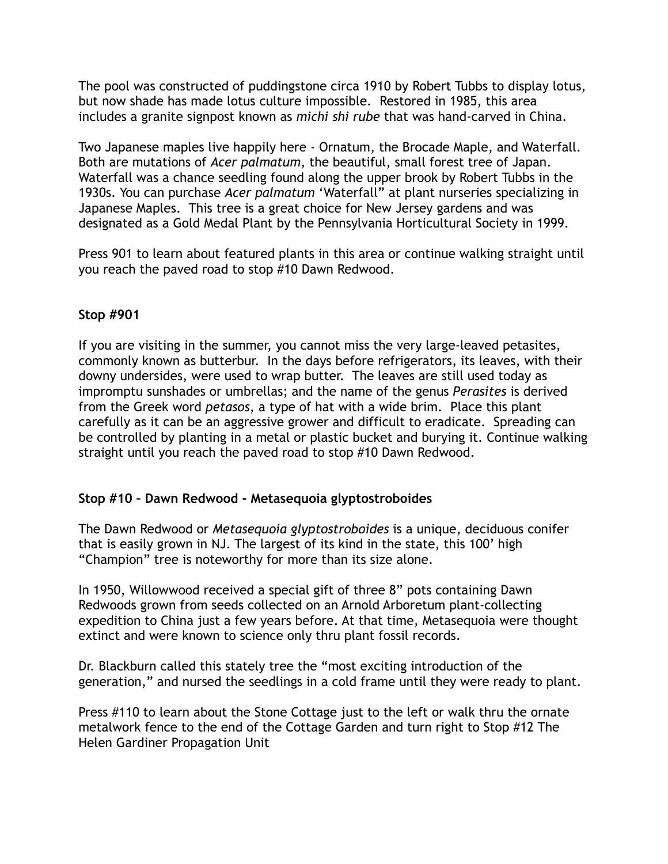The pool was constructed of puddingstone circa 1910 by Robert Tubbs to display lotus, but now shade has made lotus culture impossible. Restored in 1985, this area includes a granite signpost known as *michi shi rube* that was hand-carved in China.

Two Japanese maples live happily here - Ornatum, the Brocade Maple, and Waterfall. Both are mutations of *Acer palmatum*, the beautiful, small forest tree of Japan. Waterfall was a chance seedling found along the upper brook by Robert Tubbs in the 1930s. You can purchase *Acer palmatum* 'Waterfall" at plant nurseries specializing in Japanese Maples. This tree is a great choice for New Jersey gardens and was designated as a Gold Medal Plant by the Pennsylvania Horticultural Society in 1999.

Press 901 to learn about featured plants in this area or continue walking straight until you reach the paved road to stop #10 Dawn Redwood.

### **Stop #901**

If you are visiting in the summer, you cannot miss the very large-leaved petasites, commonly known as butterbur. In the days before refrigerators, its leaves, with their downy undersides, were used to wrap butter. The leaves are still used today as impromptu sunshades or umbrellas; and the name of the [genus](http://www.arkive.org/butterbur/petasites-hybridus/#glossary) *Perasites* is derived from the Greek word *petasos*, a type of hat with a wide brim. Place this plant carefully as it can be an aggressive grower and difficult to eradicate. Spreading can be controlled by planting in a metal or plastic bucket and burying it. Continue walking straight until you reach the paved road to stop #10 Dawn Redwood.

## **Stop #10 – Dawn Redwood - Metasequoia glyptostroboides**

The Dawn Redwood or *Metasequoia glyptostroboides* is a unique, deciduous conifer that is easily grown in NJ. The largest of its kind in the state, this 100' high "Champion" tree is noteworthy for more than its size alone.

In 1950, Willowwood received a special gift of three 8" pots containing Dawn Redwoods grown from seeds collected on an Arnold Arboretum plant-collecting expedition to China just a few years before. At that time, Metasequoia were thought extinct and were known to science only thru plant fossil records.

Dr. Blackburn called this stately tree the "most exciting introduction of the generation," and nursed the seedlings in a cold frame until they were ready to plant.

Press #110 to learn about the Stone Cottage just to the left or walk thru the ornate metalwork fence to the end of the Cottage Garden and turn right to Stop #12 The Helen Gardiner Propagation Unit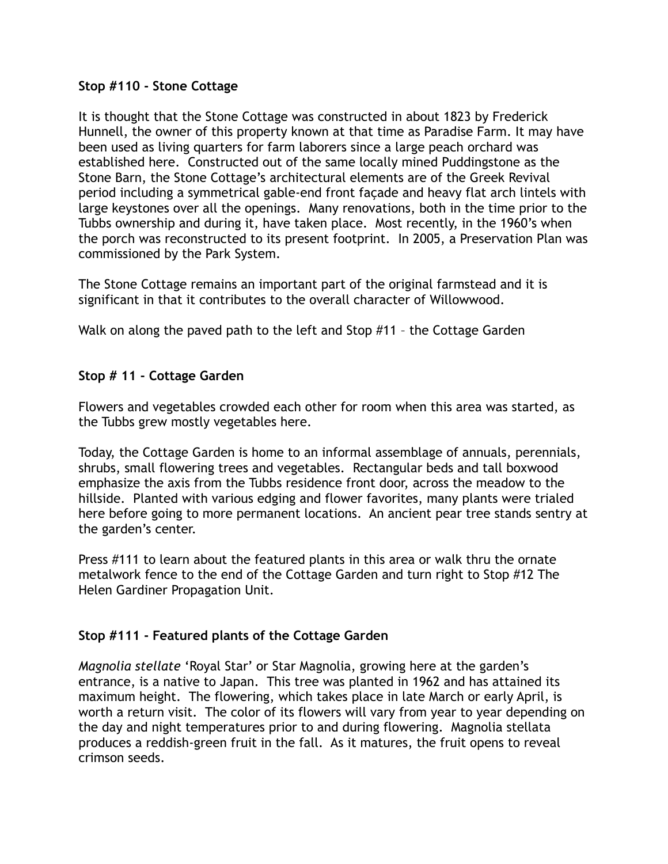### **Stop #110 - Stone Cottage**

It is thought that the Stone Cottage was constructed in about 1823 by Frederick Hunnell, the owner of this property known at that time as Paradise Farm. It may have been used as living quarters for farm laborers since a large peach orchard was established here. Constructed out of the same locally mined Puddingstone as the Stone Barn, the Stone Cottage's architectural elements are of the Greek Revival period including a symmetrical gable-end front façade and heavy flat arch lintels with large keystones over all the openings. Many renovations, both in the time prior to the Tubbs ownership and during it, have taken place. Most recently, in the 1960's when the porch was reconstructed to its present footprint. In 2005, a Preservation Plan was commissioned by the Park System.

The Stone Cottage remains an important part of the original farmstead and it is significant in that it contributes to the overall character of Willowwood.

Walk on along the paved path to the left and Stop #11 – the Cottage Garden

### **Stop # 11 - Cottage Garden**

Flowers and vegetables crowded each other for room when this area was started, as the Tubbs grew mostly vegetables here.

Today, the Cottage Garden is home to an informal assemblage of annuals, perennials, shrubs, small flowering trees and vegetables. Rectangular beds and tall boxwood emphasize the axis from the Tubbs residence front door, across the meadow to the hillside. Planted with various edging and flower favorites, many plants were trialed here before going to more permanent locations. An ancient pear tree stands sentry at the garden's center.

Press #111 to learn about the featured plants in this area or walk thru the ornate metalwork fence to the end of the Cottage Garden and turn right to Stop #12 The Helen Gardiner Propagation Unit.

## **Stop #111 - Featured plants of the Cottage Garden**

*Magnolia stellate* 'Royal Star' or Star Magnolia, growing here at the garden's entrance, is a native to Japan. This tree was planted in 1962 and has attained its maximum height. The flowering, which takes place in late March or early April, is worth a return visit. The color of its flowers will vary from year to year depending on the day and night temperatures prior to and during flowering. Magnolia stellata produces a reddish-green fruit in the fall. As it matures, the fruit opens to reveal crimson seeds.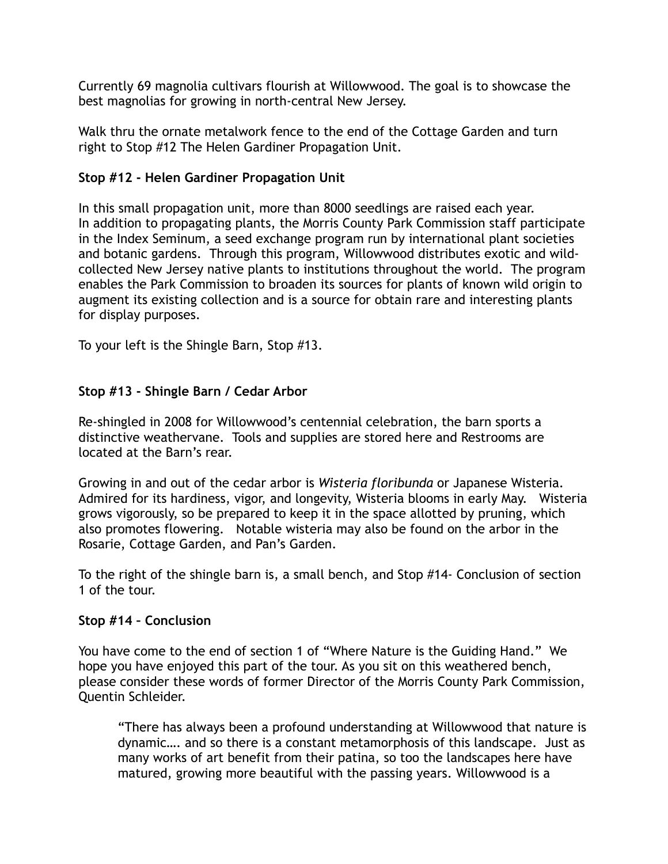Currently 69 magnolia cultivars flourish at Willowwood. The goal is to showcase the best magnolias for growing in north-central New Jersey.

Walk thru the ornate metalwork fence to the end of the Cottage Garden and turn right to Stop #12 The Helen Gardiner Propagation Unit.

# **Stop #12 - Helen Gardiner Propagation Unit**

In this small propagation unit, more than 8000 seedlings are raised each year. In addition to propagating plants, the Morris County Park Commission staff participate in the Index Seminum, a seed exchange program run by international plant societies and botanic gardens. Through this program, Willowwood distributes exotic and wildcollected New Jersey native plants to institutions throughout the world. The program enables the Park Commission to broaden its sources for plants of known wild origin to augment its existing collection and is a source for obtain rare and interesting plants for display purposes.

To your left is the Shingle Barn, Stop #13.

# **Stop #13 - Shingle Barn / Cedar Arbor**

Re-shingled in 2008 for Willowwood's centennial celebration, the barn sports a distinctive weathervane. Tools and supplies are stored here and Restrooms are located at the Barn's rear.

Growing in and out of the cedar arbor is *Wisteria floribunda* or Japanese Wisteria. Admired for its hardiness, vigor, and longevity, Wisteria blooms in early May. Wisteria grows vigorously, so be prepared to keep it in the space allotted by pruning, which also promotes flowering. Notable wisteria may also be found on the arbor in the Rosarie, Cottage Garden, and Pan's Garden.

To the right of the shingle barn is, a small bench, and Stop #14- Conclusion of section 1 of the tour.

## **Stop #14 – Conclusion**

You have come to the end of section 1 of "Where Nature is the Guiding Hand." We hope you have enjoyed this part of the tour. As you sit on this weathered bench, please consider these words of former Director of the Morris County Park Commission, Quentin Schleider.

"There has always been a profound understanding at Willowwood that nature is dynamic…. and so there is a constant metamorphosis of this landscape. Just as many works of art benefit from their patina, so too the landscapes here have matured, growing more beautiful with the passing years. Willowwood is a